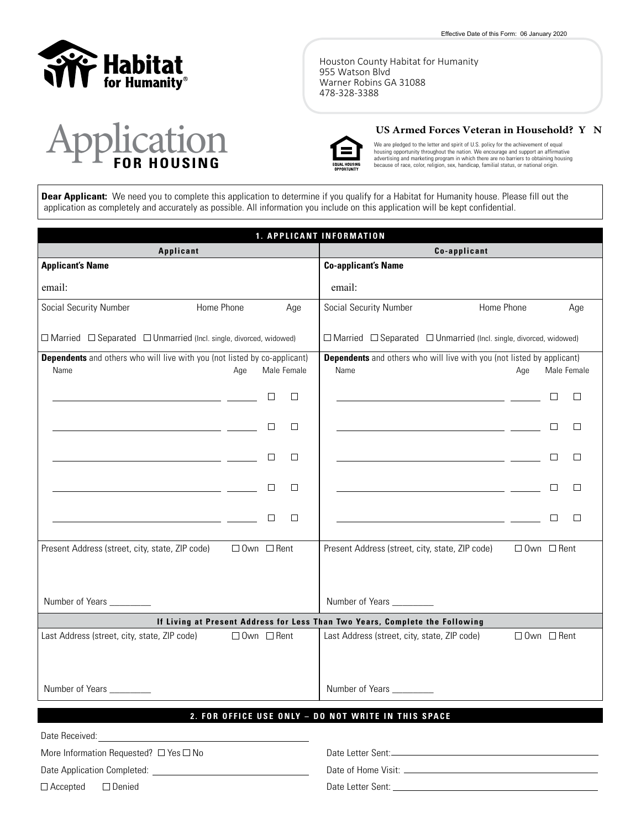

Houston County Habitat for Humanity 955 Watson Blvd Warner Robins GA 31088 478-328-3388

# ration

#### **US Armed Forces Veteran in Household? Y N**



We are pledged to the letter and spirit of U.S. policy for the achievement of equal housing opportunity throughout the nation. We encourage and support an affirmative advertising and marketing program in which there are no barriers to obtaining housing because of race, color, religion, sex, handicap, familial status, or national origin.

Dear Applicant: We need you to complete this application to determine if you qualify for a Habitat for Humanity house. Please fill out the application as completely and accurately as possible. All information you include on this application will be kept confidential.

| 1. APPLICANT INFORMATION                                                                                             |                                                                                                                      |                  |                                                                                                                      |                                                      |                        |  |
|----------------------------------------------------------------------------------------------------------------------|----------------------------------------------------------------------------------------------------------------------|------------------|----------------------------------------------------------------------------------------------------------------------|------------------------------------------------------|------------------------|--|
|                                                                                                                      | Applicant                                                                                                            |                  | Co-applicant                                                                                                         |                                                      |                        |  |
| <b>Applicant's Name</b>                                                                                              |                                                                                                                      |                  | <b>Co-applicant's Name</b>                                                                                           |                                                      |                        |  |
| email:                                                                                                               |                                                                                                                      |                  | email:                                                                                                               |                                                      |                        |  |
| Social Security Number                                                                                               | Home Phone                                                                                                           | Age              | <b>Social Security Number</b>                                                                                        | Home Phone                                           | Age                    |  |
| $\Box$ Married $\Box$ Separated $\Box$ Unmarried (Incl. single, divorced, widowed)                                   |                                                                                                                      |                  | $\Box$ Married $\Box$ Separated $\Box$ Unmarried (Incl. single, divorced, widowed)                                   |                                                      |                        |  |
| <b>Dependents</b> and others who will live with you (not listed by co-applicant)<br>Name                             | Age                                                                                                                  | Male Female      | <b>Dependents</b> and others who will live with you (not listed by applicant)<br>Name                                | Age                                                  | Male Female            |  |
|                                                                                                                      | <u> 1989 - Johann Barn, fransk politik (</u>                                                                         | $\Box$<br>$\Box$ |                                                                                                                      | <u> 1989 - Johann Barbara, politik eta politikar</u> | $\Box$<br>$\Box$       |  |
|                                                                                                                      | the control of the control of the control of the control of                                                          | $\Box$<br>$\Box$ | <u> 1999 - Johann Barn, mars eta bainar eta industrial eta espainiar eta espainiar eta espainiar eta espainiar e</u> |                                                      | $\Box$<br>□            |  |
|                                                                                                                      | <u> 1989 - Johann Barn, mars eta bat erroman erroman erroman erroman erroman erroman erroman erroman erroman err</u> | □<br>$\Box$      | <u> 1989 - Johann Marie Barn, mars eta industrial eta industrial eta industrial eta industrial eta industrial e</u>  |                                                      | П<br>$\Box$            |  |
|                                                                                                                      |                                                                                                                      | □<br>$\Box$      | <u> 1989 - Johann Stein, mars an de Britannic (b. 1989)</u>                                                          |                                                      | $\Box$<br>П            |  |
| <u> 1989 - Johann Stein, mars an deutscher Stein und der Stein und der Stein und der Stein und der Stein und der</u> |                                                                                                                      | □<br>□           | <u> 1989 - Johann Stein, mars an deutscher Stein und der Stein und der Stein und der Stein und der Stein und der</u> |                                                      | $\Box$<br>□            |  |
| Present Address (street, city, state, ZIP code)                                                                      | $\Box$ Own $\Box$ Rent                                                                                               |                  | Present Address (street, city, state, ZIP code)                                                                      |                                                      | $\Box$ Own $\Box$ Rent |  |
|                                                                                                                      |                                                                                                                      |                  |                                                                                                                      |                                                      |                        |  |
| Number of Years ________                                                                                             |                                                                                                                      |                  | Number of Years ________                                                                                             |                                                      |                        |  |
|                                                                                                                      |                                                                                                                      |                  | If Living at Present Address for Less Than Two Years, Complete the Following                                         |                                                      |                        |  |
| Last Address (street, city, state, ZIP code)                                                                         | $\Box$ Own $\Box$ Rent                                                                                               |                  | Last Address (street, city, state, ZIP code)                                                                         |                                                      | □ 0wn □ Rent           |  |
| Number of Years                                                                                                      |                                                                                                                      |                  | Number of Years _________                                                                                            |                                                      |                        |  |
|                                                                                                                      |                                                                                                                      |                  | 2. FOR OFFICE USE ONLY - DO NOT WRITE IN THIS SPACE                                                                  |                                                      |                        |  |
| Date Received:                                                                                                       |                                                                                                                      |                  |                                                                                                                      |                                                      |                        |  |

More Information Requested?  $\Box$  Yes  $\Box$  No

Date Letter Sent:

Date of Home Visit:

Date Letter Sent:

 $\Box$  Accepted  $\Box$  Denied

Date Application Completed: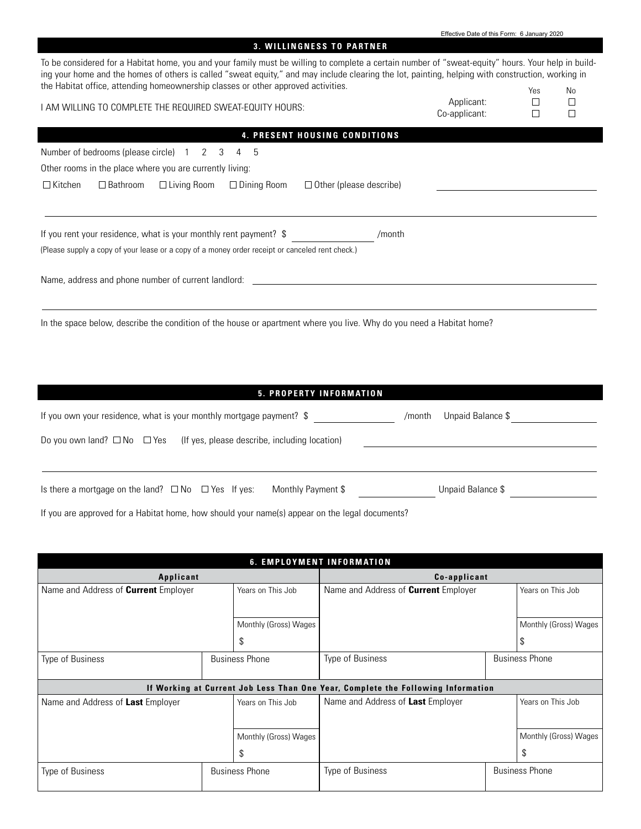| <b>3. WILLINGNESS TO PARTNER</b>                                                                                                                                                                                                                                                                                                                                                             |                             |     |                  |
|----------------------------------------------------------------------------------------------------------------------------------------------------------------------------------------------------------------------------------------------------------------------------------------------------------------------------------------------------------------------------------------------|-----------------------------|-----|------------------|
| To be considered for a Habitat home, you and your family must be willing to complete a certain number of "sweat-equity" hours. Your help in build-<br>ing your home and the homes of others is called "sweat equity," and may include clearing the lot, painting, helping with construction, working in<br>the Habitat office, attending homeownership classes or other approved activities. |                             |     |                  |
|                                                                                                                                                                                                                                                                                                                                                                                              |                             | Yes | <b>No</b>        |
| I AM WILLING TO COMPLETE THE REQUIRED SWEAT-EQUITY HOURS:                                                                                                                                                                                                                                                                                                                                    | Applicant:<br>Co-applicant: | П   | $\Box$<br>$\Box$ |
| 4. PRESENT HOUSING CONDITIONS                                                                                                                                                                                                                                                                                                                                                                |                             |     |                  |
| Number of bedrooms (please circle) 1 2 3<br>4 5                                                                                                                                                                                                                                                                                                                                              |                             |     |                  |
| Other rooms in the place where you are currently living:                                                                                                                                                                                                                                                                                                                                     |                             |     |                  |
| $\Box$ Kitchen<br>$\Box$ Living Room<br>$\Box$ Dining Room<br>$\Box$ Bathroom<br>$\Box$ Other (please describe)                                                                                                                                                                                                                                                                              |                             |     |                  |
| If you rent your residence, what is your monthly rent payment? \$<br>/month                                                                                                                                                                                                                                                                                                                  |                             |     |                  |
| (Please supply a copy of your lease or a copy of a money order receipt or canceled rent check.)                                                                                                                                                                                                                                                                                              |                             |     |                  |
|                                                                                                                                                                                                                                                                                                                                                                                              |                             |     |                  |
| In the space below, describe the condition of the house or apartment where you live. Why do you need a Habitat home?                                                                                                                                                                                                                                                                         |                             |     |                  |

# **5 . P r o p e r t y In f o r m at i o n**

| If you own your residence, what is your monthly mortgage payment? \$                      | /month | Unpaid Balance \$ |  |
|-------------------------------------------------------------------------------------------|--------|-------------------|--|
| Do you own land? $\square$ No $\square$ Yes (If yes, please describe, including location) |        |                   |  |
| Is there a mortgage on the land? $\Box$ No $\Box$ Yes If yes:<br>Monthly Payment \$       |        | Unpaid Balance \$ |  |

If you are approved for a Habitat home, how should your name(s) appear on the legal documents?

|                                             |  |                       | <b>6. EMPLOYMENT INFORMATION</b>                                                 |                       |                       |
|---------------------------------------------|--|-----------------------|----------------------------------------------------------------------------------|-----------------------|-----------------------|
| Applicant                                   |  |                       | Co-applicant                                                                     |                       |                       |
| Name and Address of <b>Current</b> Employer |  | Years on This Job     | Name and Address of <b>Current</b> Employer                                      |                       | Years on This Job     |
|                                             |  |                       |                                                                                  |                       |                       |
|                                             |  | Monthly (Gross) Wages |                                                                                  |                       | Monthly (Gross) Wages |
|                                             |  | S                     |                                                                                  |                       | S                     |
| Type of Business                            |  | <b>Business Phone</b> | Type of Business                                                                 | <b>Business Phone</b> |                       |
|                                             |  |                       |                                                                                  |                       |                       |
|                                             |  |                       | If Working at Current Job Less Than One Year, Complete the Following Information |                       |                       |
| Name and Address of Last Employer           |  | Years on This Job     | Name and Address of Last Employer                                                |                       | Years on This Job     |
|                                             |  |                       |                                                                                  |                       |                       |
|                                             |  | Monthly (Gross) Wages |                                                                                  |                       | Monthly (Gross) Wages |
|                                             |  | \$                    |                                                                                  |                       | \$                    |
| <b>Business Phone</b><br>Type of Business   |  |                       | Type of Business                                                                 |                       | <b>Business Phone</b> |
|                                             |  |                       |                                                                                  |                       |                       |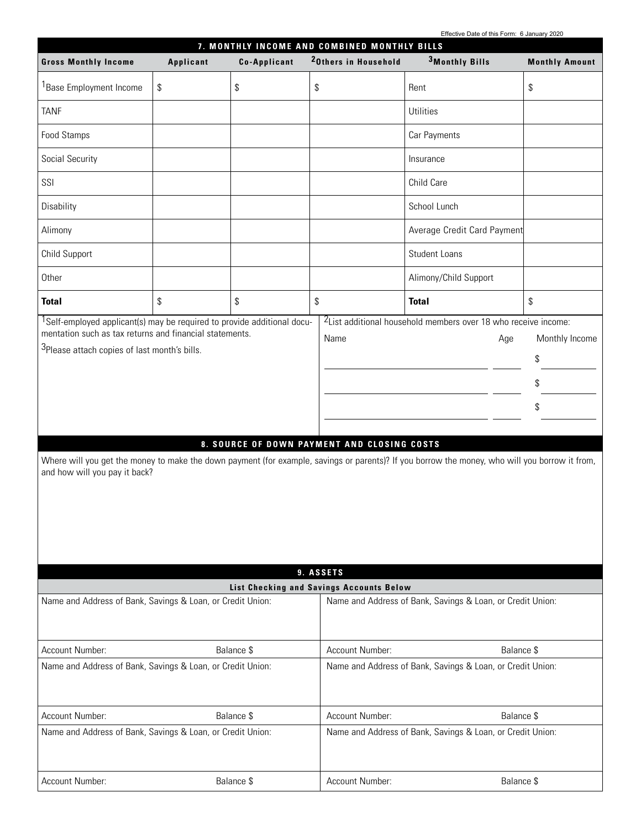Effective Date of this Form: 6 January 2020

|                                                                                                                                                                                                                                             | 7. MONTHLY INCOME AND COMBINED MONTHLY BILLS |                           |                                                     |                                                                                                                                                                                                                                     |                                  |  |  |
|---------------------------------------------------------------------------------------------------------------------------------------------------------------------------------------------------------------------------------------------|----------------------------------------------|---------------------------|-----------------------------------------------------|-------------------------------------------------------------------------------------------------------------------------------------------------------------------------------------------------------------------------------------|----------------------------------|--|--|
| <b>Gross Monthly Income</b>                                                                                                                                                                                                                 | Applicant                                    | <b>Co-Applicant</b>       | <sup>2</sup> Others in Household                    | <sup>3</sup> Monthly Bills                                                                                                                                                                                                          | <b>Monthly Amount</b>            |  |  |
| <sup>1</sup> Base Employment Income                                                                                                                                                                                                         | \$                                           | \$                        | \$                                                  | Rent                                                                                                                                                                                                                                | \$                               |  |  |
| <b>TANF</b>                                                                                                                                                                                                                                 |                                              |                           |                                                     | <b>Utilities</b>                                                                                                                                                                                                                    |                                  |  |  |
| Food Stamps                                                                                                                                                                                                                                 |                                              |                           |                                                     | Car Payments                                                                                                                                                                                                                        |                                  |  |  |
| Social Security                                                                                                                                                                                                                             |                                              |                           |                                                     | Insurance                                                                                                                                                                                                                           |                                  |  |  |
| SSI                                                                                                                                                                                                                                         |                                              |                           |                                                     | Child Care                                                                                                                                                                                                                          |                                  |  |  |
| Disability                                                                                                                                                                                                                                  |                                              |                           |                                                     | School Lunch                                                                                                                                                                                                                        |                                  |  |  |
| Alimony                                                                                                                                                                                                                                     |                                              |                           |                                                     | Average Credit Card Payment                                                                                                                                                                                                         |                                  |  |  |
| Child Support                                                                                                                                                                                                                               |                                              |                           |                                                     | Student Loans                                                                                                                                                                                                                       |                                  |  |  |
| Other                                                                                                                                                                                                                                       |                                              |                           |                                                     | Alimony/Child Support                                                                                                                                                                                                               |                                  |  |  |
| <b>Total</b>                                                                                                                                                                                                                                | \$                                           | $\boldsymbol{\mathsf{S}}$ | \$                                                  | <b>Total</b>                                                                                                                                                                                                                        | \$                               |  |  |
| <sup>1</sup> Self-employed applicant(s) may be required to provide additional docu-<br>mentation such as tax returns and financial statements.<br><sup>3</sup> Please attach copies of last month's bills.<br>and how will you pay it back? |                                              |                           | Name<br>8. SOURCE OF DOWN PAYMENT AND CLOSING COSTS | <sup>2</sup> List additional household members over 18 who receive income:<br>Age<br>Where will you get the money to make the down payment (for example, savings or parents)? If you borrow the money, who will you borrow it from, | Monthly Income<br>\$<br>\$<br>\$ |  |  |
|                                                                                                                                                                                                                                             |                                              |                           | 9. ASSETS                                           |                                                                                                                                                                                                                                     |                                  |  |  |
|                                                                                                                                                                                                                                             |                                              |                           | List Checking and Savings Accounts Below            |                                                                                                                                                                                                                                     |                                  |  |  |
| Name and Address of Bank, Savings & Loan, or Credit Union:                                                                                                                                                                                  |                                              |                           |                                                     | Name and Address of Bank, Savings & Loan, or Credit Union:                                                                                                                                                                          |                                  |  |  |
| Account Number:                                                                                                                                                                                                                             |                                              | Balance \$                | Account Number:                                     | Balance \$                                                                                                                                                                                                                          |                                  |  |  |
| Name and Address of Bank, Savings & Loan, or Credit Union:                                                                                                                                                                                  |                                              |                           |                                                     | Name and Address of Bank, Savings & Loan, or Credit Union:                                                                                                                                                                          |                                  |  |  |
| Account Number:                                                                                                                                                                                                                             |                                              | Balance \$                | Account Number:                                     | Balance \$                                                                                                                                                                                                                          |                                  |  |  |
| Name and Address of Bank, Savings & Loan, or Credit Union:                                                                                                                                                                                  |                                              |                           |                                                     | Name and Address of Bank, Savings & Loan, or Credit Union:                                                                                                                                                                          |                                  |  |  |
| Account Number:                                                                                                                                                                                                                             |                                              | Balance \$                | Account Number:                                     | Balance \$                                                                                                                                                                                                                          |                                  |  |  |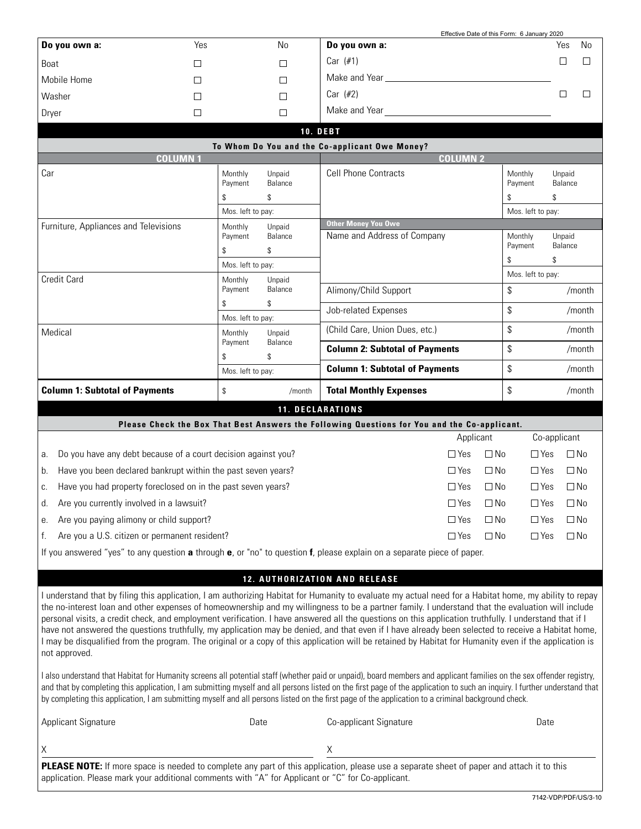|                                                                     |                    |                   | Effective Date of this Form: 6 January 2020                                                                                                                                                                                                                                                                                                                                                                                                                                                                                                                                                                                                                                                                                                                                           |                         |                   |              |
|---------------------------------------------------------------------|--------------------|-------------------|---------------------------------------------------------------------------------------------------------------------------------------------------------------------------------------------------------------------------------------------------------------------------------------------------------------------------------------------------------------------------------------------------------------------------------------------------------------------------------------------------------------------------------------------------------------------------------------------------------------------------------------------------------------------------------------------------------------------------------------------------------------------------------------|-------------------------|-------------------|--------------|
| Do you own a:                                                       | Yes                | <b>No</b>         | Do you own a:                                                                                                                                                                                                                                                                                                                                                                                                                                                                                                                                                                                                                                                                                                                                                                         |                         | Yes               | <b>No</b>    |
| Boat                                                                | □                  | П                 | Car $(\#1)$                                                                                                                                                                                                                                                                                                                                                                                                                                                                                                                                                                                                                                                                                                                                                                           |                         | □                 | П            |
| Mobile Home                                                         | □                  | П                 |                                                                                                                                                                                                                                                                                                                                                                                                                                                                                                                                                                                                                                                                                                                                                                                       |                         |                   |              |
| Washer                                                              | $\Box$             | П                 | Car (#2)                                                                                                                                                                                                                                                                                                                                                                                                                                                                                                                                                                                                                                                                                                                                                                              |                         | $\Box$            | $\Box$       |
| Dryer                                                               | □                  | $\Box$            | Make and Year <b>Example 20</b> Note that the Make and Year                                                                                                                                                                                                                                                                                                                                                                                                                                                                                                                                                                                                                                                                                                                           |                         |                   |              |
|                                                                     |                    |                   | <b>10. DEBT</b>                                                                                                                                                                                                                                                                                                                                                                                                                                                                                                                                                                                                                                                                                                                                                                       |                         |                   |              |
|                                                                     |                    |                   | To Whom Do You and the Co-applicant Owe Money?                                                                                                                                                                                                                                                                                                                                                                                                                                                                                                                                                                                                                                                                                                                                        |                         |                   |              |
| <b>COLUMN1</b>                                                      |                    |                   | <b>COLUMN 2</b>                                                                                                                                                                                                                                                                                                                                                                                                                                                                                                                                                                                                                                                                                                                                                                       |                         |                   |              |
| Car                                                                 | Monthly<br>Payment | Unpaid<br>Balance | <b>Cell Phone Contracts</b>                                                                                                                                                                                                                                                                                                                                                                                                                                                                                                                                                                                                                                                                                                                                                           | Monthly<br>Payment      | Unpaid<br>Balance |              |
|                                                                     | \$                 | \$                |                                                                                                                                                                                                                                                                                                                                                                                                                                                                                                                                                                                                                                                                                                                                                                                       | \$                      | \$                |              |
|                                                                     | Mos. left to pay:  |                   |                                                                                                                                                                                                                                                                                                                                                                                                                                                                                                                                                                                                                                                                                                                                                                                       | Mos. left to pay:       |                   |              |
| Furniture, Appliances and Televisions                               | Monthly            | Unpaid            | <b>Other Money You Owe</b>                                                                                                                                                                                                                                                                                                                                                                                                                                                                                                                                                                                                                                                                                                                                                            |                         |                   |              |
|                                                                     | Payment            | Balance           | Name and Address of Company                                                                                                                                                                                                                                                                                                                                                                                                                                                                                                                                                                                                                                                                                                                                                           | Monthly                 | Unpaid            |              |
|                                                                     | \$                 | \$                |                                                                                                                                                                                                                                                                                                                                                                                                                                                                                                                                                                                                                                                                                                                                                                                       | Payment                 | Balance           |              |
|                                                                     | Mos. left to pay:  |                   |                                                                                                                                                                                                                                                                                                                                                                                                                                                                                                                                                                                                                                                                                                                                                                                       | \$                      | \$                |              |
| <b>Credit Card</b>                                                  | Monthly<br>Payment | Unpaid<br>Balance | Alimony/Child Support                                                                                                                                                                                                                                                                                                                                                                                                                                                                                                                                                                                                                                                                                                                                                                 | Mos. left to pay:<br>\$ |                   | /month       |
|                                                                     | \$                 | \$                | Job-related Expenses                                                                                                                                                                                                                                                                                                                                                                                                                                                                                                                                                                                                                                                                                                                                                                  | \$                      |                   | /month       |
|                                                                     | Mos. left to pay:  |                   | (Child Care, Union Dues, etc.)                                                                                                                                                                                                                                                                                                                                                                                                                                                                                                                                                                                                                                                                                                                                                        | \$                      |                   | /month       |
| Medical                                                             | Monthly<br>Payment | Unpaid<br>Balance | <b>Column 2: Subtotal of Payments</b>                                                                                                                                                                                                                                                                                                                                                                                                                                                                                                                                                                                                                                                                                                                                                 | \$                      |                   | /month       |
|                                                                     | \$                 | \$                | <b>Column 1: Subtotal of Payments</b>                                                                                                                                                                                                                                                                                                                                                                                                                                                                                                                                                                                                                                                                                                                                                 | \$                      |                   | /month       |
|                                                                     | Mos. left to pay:  |                   |                                                                                                                                                                                                                                                                                                                                                                                                                                                                                                                                                                                                                                                                                                                                                                                       |                         |                   |              |
|                                                                     |                    |                   |                                                                                                                                                                                                                                                                                                                                                                                                                                                                                                                                                                                                                                                                                                                                                                                       |                         |                   |              |
| <b>Column 1: Subtotal of Payments</b>                               | \$                 | /month            | <b>Total Monthly Expenses</b>                                                                                                                                                                                                                                                                                                                                                                                                                                                                                                                                                                                                                                                                                                                                                         | \$                      |                   | /month       |
|                                                                     |                    |                   | <b>11. DECLARATIONS</b>                                                                                                                                                                                                                                                                                                                                                                                                                                                                                                                                                                                                                                                                                                                                                               |                         |                   |              |
|                                                                     |                    |                   | Please Check the Box That Best Answers the Following Questions for You and the Co-applicant.                                                                                                                                                                                                                                                                                                                                                                                                                                                                                                                                                                                                                                                                                          |                         |                   |              |
|                                                                     |                    |                   | Applicant                                                                                                                                                                                                                                                                                                                                                                                                                                                                                                                                                                                                                                                                                                                                                                             |                         | Co-applicant      |              |
| Do you have any debt because of a court decision against you?<br>а. |                    |                   | $\Box$ No<br>$\Box$ Yes                                                                                                                                                                                                                                                                                                                                                                                                                                                                                                                                                                                                                                                                                                                                                               | $\Box$ Yes              |                   | $\square$ No |
| Have you been declared bankrupt within the past seven years?<br>b.  |                    |                   | $\Box$ Yes<br>$\square$ No                                                                                                                                                                                                                                                                                                                                                                                                                                                                                                                                                                                                                                                                                                                                                            | $\Box$ Yes              |                   | $\square$ No |
| Have you had property foreclosed on in the past seven years?<br>C.  |                    |                   | $\Box$ Yes<br>$\square$ No                                                                                                                                                                                                                                                                                                                                                                                                                                                                                                                                                                                                                                                                                                                                                            | $\Box$ Yes              |                   | $\square$ No |
| Are you currently involved in a lawsuit?<br>d.                      |                    |                   | $\Box$ Yes<br>$\Box$ No                                                                                                                                                                                                                                                                                                                                                                                                                                                                                                                                                                                                                                                                                                                                                               | $\Box$ Yes              |                   | $\Box$ No    |
| Are you paying alimony or child support?<br>е.                      |                    |                   | $\Box$ Yes<br>$\Box$ No                                                                                                                                                                                                                                                                                                                                                                                                                                                                                                                                                                                                                                                                                                                                                               | $\Box$ Yes              |                   | $\square$ No |
| Are you a U.S. citizen or permanent resident?<br>f.                 |                    |                   | $\Box$ Yes<br>$\Box$ No                                                                                                                                                                                                                                                                                                                                                                                                                                                                                                                                                                                                                                                                                                                                                               | $\Box$ Yes              |                   | $\Box$ No    |
|                                                                     |                    |                   | If you answered "yes" to any question a through e, or "no" to question f, please explain on a separate piece of paper.                                                                                                                                                                                                                                                                                                                                                                                                                                                                                                                                                                                                                                                                |                         |                   |              |
|                                                                     |                    |                   |                                                                                                                                                                                                                                                                                                                                                                                                                                                                                                                                                                                                                                                                                                                                                                                       |                         |                   |              |
|                                                                     |                    |                   | <b>12. AUTHORIZATION AND RELEASE</b>                                                                                                                                                                                                                                                                                                                                                                                                                                                                                                                                                                                                                                                                                                                                                  |                         |                   |              |
|                                                                     |                    |                   | I understand that by filing this application, I am authorizing Habitat for Humanity to evaluate my actual need for a Habitat home, my ability to repay<br>the no-interest loan and other expenses of homeownership and my willingness to be a partner family. I understand that the evaluation will include<br>personal visits, a credit check, and employment verification. I have answered all the questions on this application truthfully. I understand that if I<br>have not answered the questions truthfully, my application may be denied, and that even if I have already been selected to receive a Habitat home,<br>I may be disqualified from the program. The original or a copy of this application will be retained by Habitat for Humanity even if the application is |                         |                   |              |
| not approved.                                                       |                    |                   | I also understand that Habitat for Humanity screens all potential staff (whether paid or unpaid), board members and applicant families on the sex offender registry,<br>and that by completing this application, I am submitting myself and all persons listed on the first page of the application to such an inquiry. I further understand that<br>by completing this application, I am submitting myself and all persons listed on the first page of the application to a criminal background check.                                                                                                                                                                                                                                                                               |                         |                   |              |
| <b>Applicant Signature</b>                                          |                    | Date              | Co-applicant Signature                                                                                                                                                                                                                                                                                                                                                                                                                                                                                                                                                                                                                                                                                                                                                                | Date                    |                   |              |
| Χ                                                                   |                    |                   | Χ                                                                                                                                                                                                                                                                                                                                                                                                                                                                                                                                                                                                                                                                                                                                                                                     |                         |                   |              |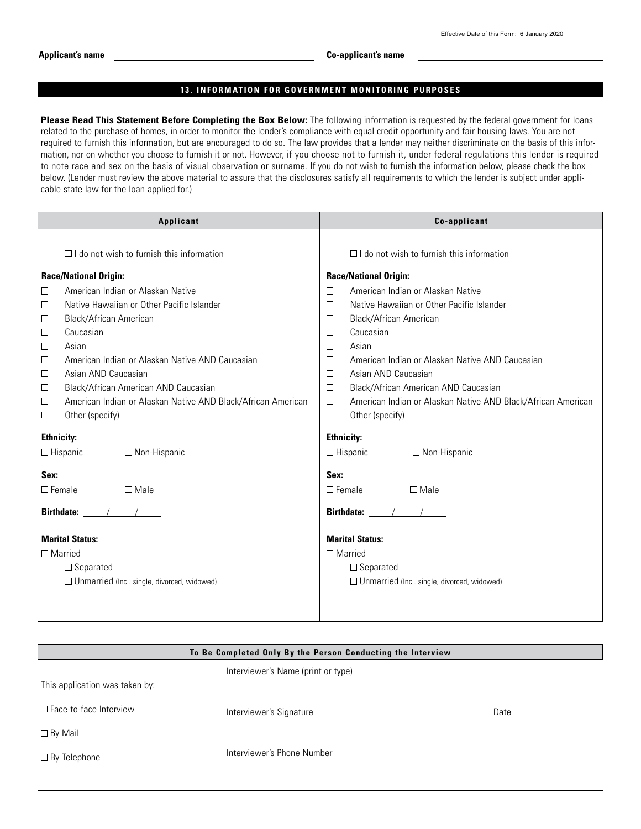#### **13. INFORMATION FOR GOVERNMENT MONITORING PURPOSES**

Please Read This Statement Before Completing the Box Below: The following information is requested by the federal government for loans related to the purchase of homes, in order to monitor the lender's compliance with equal credit opportunity and fair housing laws. You are not required to furnish this information, but are encouraged to do so. The law provides that a lender may neither discriminate on the basis of this information, nor on whether you choose to furnish it or not. However, if you choose not to furnish it, under federal regulations this lender is required to note race and sex on the basis of visual observation or surname. If you do not wish to furnish the information below, please check the box below. (Lender must review the above material to assure that the disclosures satisfy all requirements to which the lender is subject under applicable state law for the loan applied for.)

| Applicant                                                                                                                                                                                                                                                                                                                                                                                                                                                                                              | Co-applicant                                                                                                                                                                                                                                                                                                                                                                                                                                                                       |  |  |
|--------------------------------------------------------------------------------------------------------------------------------------------------------------------------------------------------------------------------------------------------------------------------------------------------------------------------------------------------------------------------------------------------------------------------------------------------------------------------------------------------------|------------------------------------------------------------------------------------------------------------------------------------------------------------------------------------------------------------------------------------------------------------------------------------------------------------------------------------------------------------------------------------------------------------------------------------------------------------------------------------|--|--|
| $\Box$ I do not wish to furnish this information                                                                                                                                                                                                                                                                                                                                                                                                                                                       | $\Box$ I do not wish to furnish this information                                                                                                                                                                                                                                                                                                                                                                                                                                   |  |  |
| <b>Race/National Origin:</b>                                                                                                                                                                                                                                                                                                                                                                                                                                                                           | <b>Race/National Origin:</b>                                                                                                                                                                                                                                                                                                                                                                                                                                                       |  |  |
| American Indian or Alaskan Native<br>$\Box$<br>$\Box$<br>Native Hawaiian or Other Pacific Islander<br>$\Box$<br>Black/African American<br>$\Box$<br>Caucasian<br>$\Box$<br>Asian<br>$\Box$<br>American Indian or Alaskan Native AND Caucasian<br>$\Box$<br>Asian AND Caucasian<br>$\Box$<br>Black/African American AND Caucasian<br>$\Box$<br>American Indian or Alaskan Native AND Black/African American<br>$\Box$<br>Other (specify)<br><b>Ethnicity:</b><br>$\Box$ Hispanic<br>$\Box$ Non-Hispanic | American Indian or Alaskan Native<br>П<br>Native Hawaiian or Other Pacific Islander<br>$\Box$<br>Black/African American<br>$\Box$<br>Caucasian<br>П<br>Asian<br>$\Box$<br>American Indian or Alaskan Native AND Caucasian<br>П<br>Asian AND Caucasian<br>$\Box$<br>Black/African American AND Caucasian<br>□<br>American Indian or Alaskan Native AND Black/African American<br>$\Box$<br>$\Box$<br>Other (specify)<br><b>Ethnicity:</b><br>$\Box$ Hispanic<br>$\Box$ Non-Hispanic |  |  |
| Sex:                                                                                                                                                                                                                                                                                                                                                                                                                                                                                                   | Sex:                                                                                                                                                                                                                                                                                                                                                                                                                                                                               |  |  |
| $\Box$ Female<br>$\square$ Male                                                                                                                                                                                                                                                                                                                                                                                                                                                                        | $\Box$ Female<br>$\Box$ Male                                                                                                                                                                                                                                                                                                                                                                                                                                                       |  |  |
| Birthdate: $\frac{1}{2}$ /                                                                                                                                                                                                                                                                                                                                                                                                                                                                             | Birthdate: $\frac{1}{2}$ /                                                                                                                                                                                                                                                                                                                                                                                                                                                         |  |  |
| <b>Marital Status:</b>                                                                                                                                                                                                                                                                                                                                                                                                                                                                                 | <b>Marital Status:</b>                                                                                                                                                                                                                                                                                                                                                                                                                                                             |  |  |
| $\Box$ Married                                                                                                                                                                                                                                                                                                                                                                                                                                                                                         | $\Box$ Married                                                                                                                                                                                                                                                                                                                                                                                                                                                                     |  |  |
| $\Box$ Separated<br>□ Unmarried (Incl. single, divorced, widowed)                                                                                                                                                                                                                                                                                                                                                                                                                                      | $\Box$ Separated<br>$\Box$ Unmarried (Incl. single, divorced, widowed)                                                                                                                                                                                                                                                                                                                                                                                                             |  |  |

| To Be Completed Only By the Person Conducting the Interview |                                    |      |  |  |
|-------------------------------------------------------------|------------------------------------|------|--|--|
|                                                             | Interviewer's Name (print or type) |      |  |  |
| This application was taken by:                              |                                    |      |  |  |
| $\Box$ Face-to-face Interview                               | Interviewer's Signature            | Date |  |  |
| $\Box$ By Mail                                              |                                    |      |  |  |
| $\Box$ By Telephone                                         | Interviewer's Phone Number         |      |  |  |
|                                                             |                                    |      |  |  |